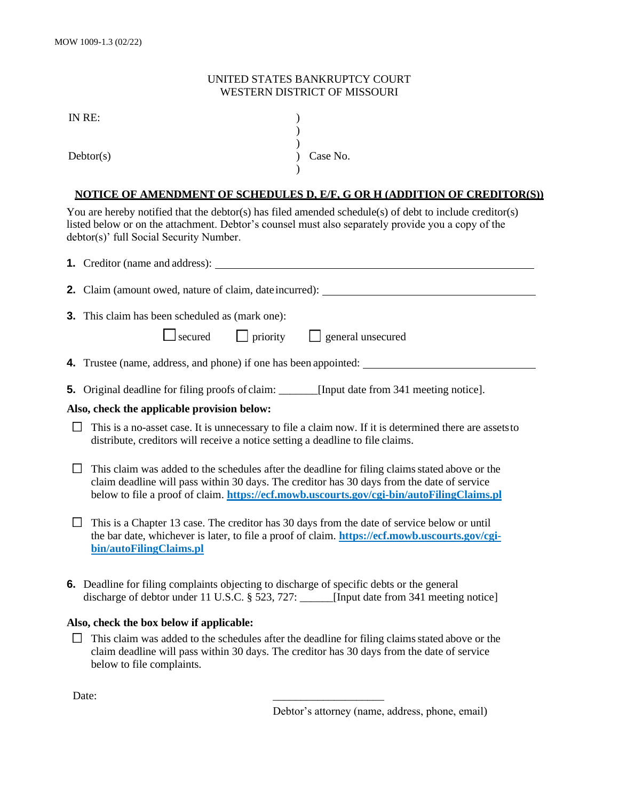## UNITED STATES BANKRUPTCY COURT WESTERN DISTRICT OF MISSOURI

) )

)

IN RE: )

Debtor(s)  $\qquad \qquad$   $\qquad$   $\qquad$   $\qquad$   $\qquad$   $\qquad$   $\qquad$   $\qquad$   $\qquad$   $\qquad$   $\qquad$   $\qquad$   $\qquad$   $\qquad$   $\qquad$   $\qquad$   $\qquad$   $\qquad$   $\qquad$   $\qquad$   $\qquad$   $\qquad$   $\qquad$   $\qquad$   $\qquad$   $\qquad$   $\qquad$   $\qquad$   $\qquad$   $\qquad$   $\qquad$   $\qquad$   $\qquad$   $\qquad$   $\qquad$ 

## **NOTICE OF AMENDMENT OF SCHEDULES D, E/F, G OR H (ADDITION OF CREDITOR(S))**

You are hereby notified that the debtor(s) has filed amended schedule(s) of debt to include creditor(s) listed below or on the attachment. Debtor's counsel must also separately provide you a copy of the debtor(s)' full Social Security Number.

|                                             | <b>2.</b> Claim (amount owed, nature of claim, date incurred): _______________________                                                                                                                                                                                                    |
|---------------------------------------------|-------------------------------------------------------------------------------------------------------------------------------------------------------------------------------------------------------------------------------------------------------------------------------------------|
|                                             | <b>3.</b> This claim has been scheduled as (mark one):                                                                                                                                                                                                                                    |
|                                             | $\Box$ secured $\Box$ priority<br>$\Box$ general unsecured                                                                                                                                                                                                                                |
|                                             | <b>4.</b> Trustee (name, address, and phone) if one has been appointed:                                                                                                                                                                                                                   |
|                                             | <b>5.</b> Original deadline for filing proofs of claim: [Input date from 341 meeting notice].                                                                                                                                                                                             |
| Also, check the applicable provision below: |                                                                                                                                                                                                                                                                                           |
| $\Box$                                      | This is a no-asset case. It is unnecessary to file a claim now. If it is determined there are assets to<br>distribute, creditors will receive a notice setting a deadline to file claims.                                                                                                 |
|                                             | This claim was added to the schedules after the deadline for filing claims stated above or the<br>claim deadline will pass within 30 days. The creditor has 30 days from the date of service<br>below to file a proof of claim. https://ecf.mowb.uscourts.gov/cgi-bin/autoFilingClaims.pl |
|                                             | This is a Chapter 13 case. The creditor has 30 days from the date of service below or until<br>the bar date, whichever is later, to file a proof of claim. https://ecf.mowb.uscourts.gov/cgi-                                                                                             |

**[bin/autoFilingClaims.pl](https://ecf.mowb.uscourts.gov/cgi-bin/autoFilingClaims.pl)**

**6.** Deadline for filing complaints objecting to discharge of specific debts or the general discharge of debtor under 11 U.S.C. § 523, 727: [Input date from 341 meeting notice]

## **Also, check the box below if applicable:**

 $\Box$ This claim was added to the schedules after the deadline for filing claims stated above or the claim deadline will pass within 30 days. The creditor has 30 days from the date of service below to file complaints.

Date: \_\_\_\_\_\_\_\_\_\_\_\_\_\_\_\_\_\_\_\_

Debtor's attorney (name, address, phone, email)